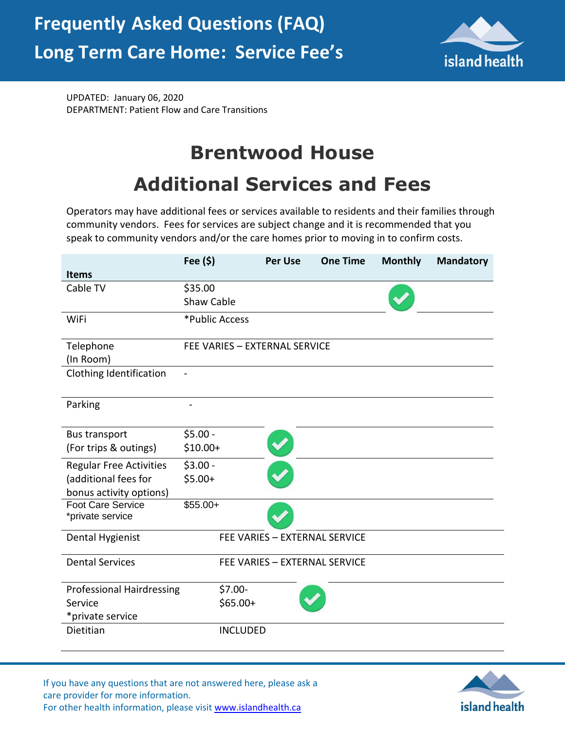

UPDATED: January 06, 2020 DEPARTMENT: Patient Flow and Care Transitions

## **Brentwood House**

## **Additional Services and Fees**

Operators may have additional fees or services available to residents and their families through community vendors. Fees for services are subject change and it is recommended that you speak to community vendors and/or the care homes prior to moving in to confirm costs.

|                                              | Fee $(5)$                     |                 | <b>Per Use</b> | <b>One Time</b>               | <b>Monthly</b> | <b>Mandatory</b> |
|----------------------------------------------|-------------------------------|-----------------|----------------|-------------------------------|----------------|------------------|
| <b>Items</b>                                 |                               |                 |                |                               |                |                  |
| Cable TV                                     | \$35.00                       |                 |                |                               |                |                  |
|                                              | <b>Shaw Cable</b>             |                 |                |                               |                |                  |
| WiFi                                         | *Public Access                |                 |                |                               |                |                  |
| Telephone                                    | FEE VARIES - EXTERNAL SERVICE |                 |                |                               |                |                  |
| (In Room)                                    |                               |                 |                |                               |                |                  |
| Clothing Identification                      |                               |                 |                |                               |                |                  |
| Parking                                      |                               |                 |                |                               |                |                  |
| <b>Bus transport</b>                         | $$5.00 -$                     |                 |                |                               |                |                  |
| (For trips & outings)                        | $$10.00+$                     |                 |                |                               |                |                  |
| <b>Regular Free Activities</b>               | $$3.00 -$                     |                 |                |                               |                |                  |
| (additional fees for                         | $$5.00+$                      |                 |                |                               |                |                  |
| bonus activity options)                      |                               |                 |                |                               |                |                  |
| <b>Foot Care Service</b><br>*private service | $$55.00+$                     |                 |                |                               |                |                  |
| Dental Hygienist                             |                               |                 |                | FEE VARIES - EXTERNAL SERVICE |                |                  |
| <b>Dental Services</b>                       |                               |                 |                | FEE VARIES - EXTERNAL SERVICE |                |                  |
| <b>Professional Hairdressing</b>             |                               | $$7.00-$        |                |                               |                |                  |
| Service                                      |                               | $$65.00+$       |                |                               |                |                  |
| *private service                             |                               |                 |                |                               |                |                  |
| Dietitian                                    |                               | <b>INCLUDED</b> |                |                               |                |                  |

If you have any questions that are not answered here, please ask a care provider for more information. For other health information, please visit [www.islandhealth.ca](http://www.islandhealth.ca/)